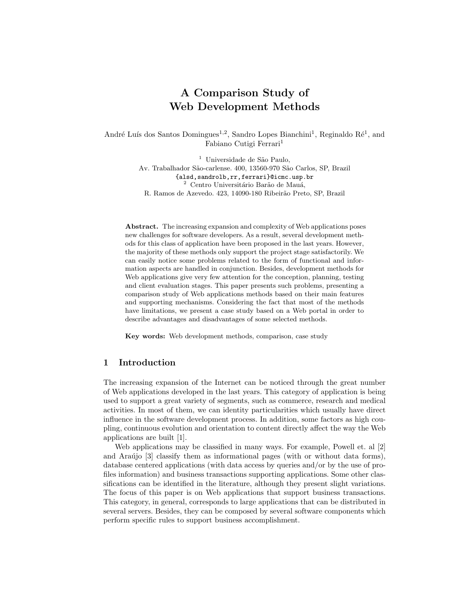# A Comparison Study of Web Development Methods

André Luís dos Santos Domingues<sup>1,2</sup>, Sandro Lopes Bianchini<sup>1</sup>, Reginaldo Ré<sup>1</sup>, and Fabiano Cutigi Ferrari<sup>1</sup>

> <sup>1</sup> Universidade de São Paulo, Av. Trabalhador São-carlense. 400, 13560-970 São Carlos, SP, Brazil {alsd,sandrolb,rr,ferrari}@icmc.usp.br  $^2$  Centro Universitário Barão de Mauá, R. Ramos de Azevedo. 423, 14090-180 Ribeirão Preto, SP, Brazil

Abstract. The increasing expansion and complexity of Web applications poses new challenges for software developers. As a result, several development methods for this class of application have been proposed in the last years. However, the majority of these methods only support the project stage satisfactorily. We can easily notice some problems related to the form of functional and information aspects are handled in conjunction. Besides, development methods for Web applications give very few attention for the conception, planning, testing and client evaluation stages. This paper presents such problems, presenting a comparison study of Web applications methods based on their main features and supporting mechanisms. Considering the fact that most of the methods have limitations, we present a case study based on a Web portal in order to describe advantages and disadvantages of some selected methods.

Key words: Web development methods, comparison, case study

## 1 Introduction

The increasing expansion of the Internet can be noticed through the great number of Web applications developed in the last years. This category of application is being used to support a great variety of segments, such as commerce, research and medical activities. In most of them, we can identity particularities which usually have direct influence in the software development process. In addition, some factors as high coupling, continuous evolution and orientation to content directly affect the way the Web applications are built [1].

Web applications may be classified in many ways. For example, Powell et. al [2] and Ara $\hat{u}$  (3) classify them as informational pages (with or without data forms), database centered applications (with data access by queries and/or by the use of profiles information) and business transactions supporting applications. Some other classifications can be identified in the literature, although they present slight variations. The focus of this paper is on Web applications that support business transactions. This category, in general, corresponds to large applications that can be distributed in several servers. Besides, they can be composed by several software components which perform specific rules to support business accomplishment.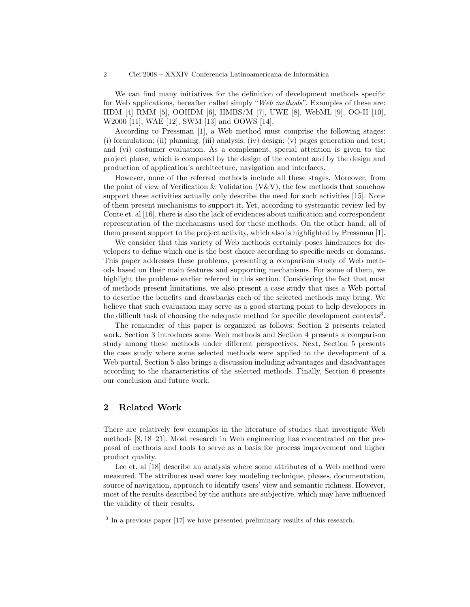#### 2 Clei'2008 – XXXIV Conferencia Latinoamericana de Informática

We can find many initiatives for the definition of development methods specific for Web applications, hereafter called simply "Web methods". Examples of these are: HDM [4] RMM [5], OOHDM [6], HMBS/M [7], UWE [8], WebML [9], OO-H [10], W2000 [11], WAE [12], SWM [13] and OOWS [14].

According to Pressman [1], a Web method must comprise the following stages: (i) formulation; (ii) planning; (iii) analysis; (iv) design; (v) pages generation and test; and (vi) costumer evaluation. As a complement, special attention is given to the project phase, which is composed by the design of the content and by the design and production of application's architecture, navigation and interfaces.

However, none of the referred methods include all these stages. Moreover, from the point of view of Verification  $\&$  Validation (V $\&$ V), the few methods that somehow support these activities actually only describe the need for such activities [15]. None of them present mechanisms to support it. Yet, according to systematic review led by Conte et. al [16], there is also the lack of evidences about unification and correspondent representation of the mechanisms used for these methods. On the other hand, all of them present support to the project activity, which also is highlighted by Pressman [1].

We consider that this variety of Web methods certainly poses hindrances for developers to define which one is the best choice according to specific needs or domains. This paper addresses these problems, presenting a comparison study of Web methods based on their main features and supporting mechanisms. For some of them, we highlight the problems earlier referred in this section. Considering the fact that most of methods present limitations, we also present a case study that uses a Web portal to describe the benefits and drawbacks each of the selected methods may bring. We believe that such evaluation may serve as a good starting point to help developers in the difficult task of choosing the adequate method for specific development contexts<sup>3</sup>.

The remainder of this paper is organized as follows: Section 2 presents related work. Section 3 introduces some Web methods and Section 4 presents a comparison study among these methods under different perspectives. Next, Section 5 presents the case study where some selected methods were applied to the development of a Web portal. Section 5 also brings a discussion including advantages and disadvantages according to the characteristics of the selected methods. Finally, Section 6 presents our conclusion and future work.

## 2 Related Work

There are relatively few examples in the literature of studies that investigate Web methods [8, 18–21]. Most research in Web engineering has concentrated on the proposal of methods and tools to serve as a basis for process improvement and higher product quality.

Lee et. al [18] describe an analysis where some attributes of a Web method were measured. The attributes used were: key modeling technique, phases, documentation, source of navigation, approach to identify users' view and semantic richness. However, most of the results described by the authors are subjective, which may have influenced the validity of their results.

<sup>&</sup>lt;sup>3</sup> In a previous paper [17] we have presented preliminary results of this research.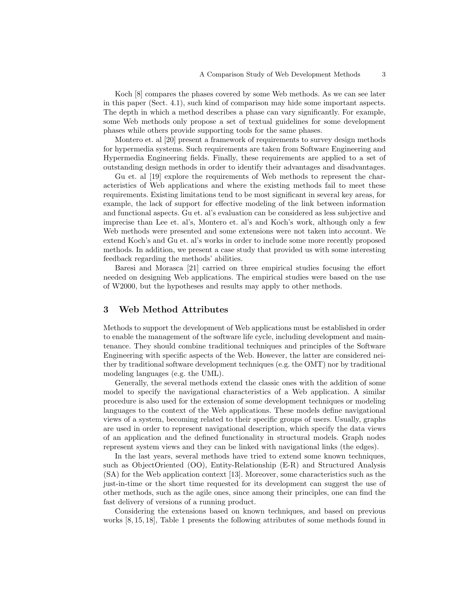Koch [8] compares the phases covered by some Web methods. As we can see later in this paper (Sect. 4.1), such kind of comparison may hide some important aspects. The depth in which a method describes a phase can vary significantly. For example, some Web methods only propose a set of textual guidelines for some development phases while others provide supporting tools for the same phases.

Montero et. al [20] present a framework of requirements to survey design methods for hypermedia systems. Such requirements are taken from Software Engineering and Hypermedia Engineering fields. Finally, these requirements are applied to a set of outstanding design methods in order to identify their advantages and disadvantages.

Gu et. al [19] explore the requirements of Web methods to represent the characteristics of Web applications and where the existing methods fail to meet these requirements. Existing limitations tend to be most significant in several key areas, for example, the lack of support for effective modeling of the link between information and functional aspects. Gu et. al's evaluation can be considered as less subjective and imprecise than Lee et. al's, Montero et. al's and Koch's work, although only a few Web methods were presented and some extensions were not taken into account. We extend Koch's and Gu et. al's works in order to include some more recently proposed methods. In addition, we present a case study that provided us with some interesting feedback regarding the methods' abilities.

Baresi and Morasca [21] carried on three empirical studies focusing the effort needed on designing Web applications. The empirical studies were based on the use of W2000, but the hypotheses and results may apply to other methods.

## 3 Web Method Attributes

Methods to support the development of Web applications must be established in order to enable the management of the software life cycle, including development and maintenance. They should combine traditional techniques and principles of the Software Engineering with specific aspects of the Web. However, the latter are considered neither by traditional software development techniques (e.g. the OMT) nor by traditional modeling languages (e.g. the UML).

Generally, the several methods extend the classic ones with the addition of some model to specify the navigational characteristics of a Web application. A similar procedure is also used for the extension of some development techniques or modeling languages to the context of the Web applications. These models define navigational views of a system, becoming related to their specific groups of users. Usually, graphs are used in order to represent navigational description, which specify the data views of an application and the defined functionality in structural models. Graph nodes represent system views and they can be linked with navigational links (the edges).

In the last years, several methods have tried to extend some known techniques, such as ObjectOriented (OO), Entity-Relationship (E-R) and Structured Analysis (SA) for the Web application context [13]. Moreover, some characteristics such as the just-in-time or the short time requested for its development can suggest the use of other methods, such as the agile ones, since among their principles, one can find the fast delivery of versions of a running product.

Considering the extensions based on known techniques, and based on previous works [8, 15, 18], Table 1 presents the following attributes of some methods found in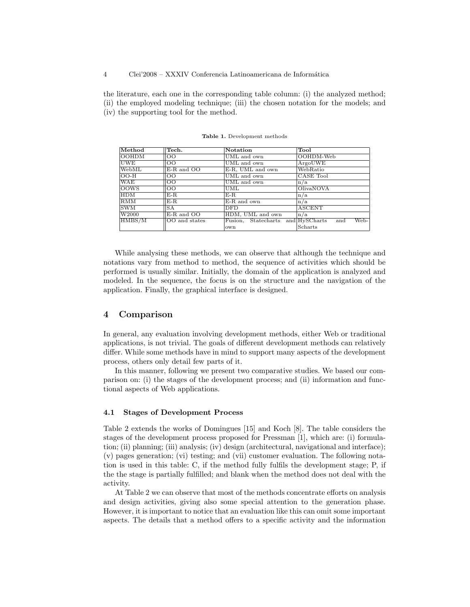the literature, each one in the corresponding table column: (i) the analyzed method; (ii) the employed modeling technique; (iii) the chosen notation for the models; and (iv) the supporting tool for the method.

| Method            | Tech.                | <b>Notation</b>                   | Tool          |  |  |  |
|-------------------|----------------------|-----------------------------------|---------------|--|--|--|
| <b>OOHDM</b>      | $_{\rm OO}$          | UML and own                       | OOHDM-Web     |  |  |  |
| <b>UWE</b>        | <b>OO</b>            | UML and own                       | ArgoUWE       |  |  |  |
| WebML             | E-R and OO           | E-R, UML and own                  | WebRatio      |  |  |  |
| $OO-H$            | $\overline{O}O$      | UML and own                       | CASE Tool     |  |  |  |
| WAE               | 100                  | UML and own                       | n/a           |  |  |  |
| <b>OOWS</b>       | 100                  | UML                               | OlivaNOVA     |  |  |  |
| HDM               | $E-R$                | $E-R$                             | n/a           |  |  |  |
| RMM               | $E-R$                | E-R and own                       | n/a           |  |  |  |
| <b>SWM</b>        | <b>SA</b>            | <b>DFD</b>                        | <b>ASCENT</b> |  |  |  |
| W <sub>2000</sub> | E-R and OO           | HDM, UML and own                  | n/a           |  |  |  |
| HMBS/M            | <b>OO</b> and states | Fusion, Statecharts and HySCharts | Web-<br>and   |  |  |  |
|                   |                      | own                               | Scharts       |  |  |  |

Table 1. Development methods

While analysing these methods, we can observe that although the technique and notations vary from method to method, the sequence of activities which should be performed is usually similar. Initially, the domain of the application is analyzed and modeled. In the sequence, the focus is on the structure and the navigation of the application. Finally, the graphical interface is designed.

# 4 Comparison

In general, any evaluation involving development methods, either Web or traditional applications, is not trivial. The goals of different development methods can relatively differ. While some methods have in mind to support many aspects of the development process, others only detail few parts of it.

In this manner, following we present two comparative studies. We based our comparison on: (i) the stages of the development process; and (ii) information and functional aspects of Web applications.

#### 4.1 Stages of Development Process

Table 2 extends the works of Domingues [15] and Koch [8]. The table considers the stages of the development process proposed for Pressman [1], which are: (i) formulation; (ii) planning; (iii) analysis; (iv) design (architectural, navigational and interface); (v) pages generation; (vi) testing; and (vii) customer evaluation. The following notation is used in this table: C, if the method fully fulfils the development stage; P, if the the stage is partially fulfilled; and blank when the method does not deal with the activity.

At Table 2 we can observe that most of the methods concentrate efforts on analysis and design activities, giving also some special attention to the generation phase. However, it is important to notice that an evaluation like this can omit some important aspects. The details that a method offers to a specific activity and the information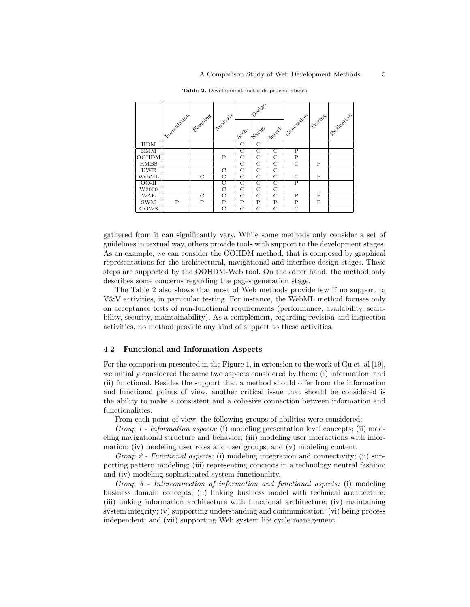|              |               |                         |                         |                         | Design                  |                         |                    |                         | Sualuation |
|--------------|---------------|-------------------------|-------------------------|-------------------------|-------------------------|-------------------------|--------------------|-------------------------|------------|
|              | / Formulation | Plantine /              | / Avalysis              | $x^2$                   | Have 1                  | Intert.                 | Ceneration         | Seeines                 |            |
| <b>HDM</b>   |               |                         |                         | $\overline{\mathrm{C}}$ | $\overline{\mathrm{C}}$ |                         |                    |                         |            |
| <b>RMM</b>   |               |                         |                         | C                       | $\mathcal{C}$           | $\mathcal{C}$           | P                  |                         |            |
| <b>OOHDM</b> |               |                         | $\overline{P}$          | $\overline{C}$          | $\overline{C}$          | $\overline{C}$          | $\overline{P}$     |                         |            |
| <b>HMBS</b>  |               |                         |                         | $\overline{\rm C}$      | $\overline{\mathrm{C}}$ | $\overline{\mathrm{C}}$ | $\overline{\rm C}$ | $_{\rm P}$              |            |
| <b>UWE</b>   |               |                         | C                       | $\mathcal{C}$           | $\overline{C}$          | $\overline{C}$          |                    |                         |            |
| WebML        |               | $\overline{C}$          | C                       | $\overline{C}$          | C                       | $\overline{C}$          | $\overline{C}$     | P                       |            |
| $OO-H$       |               |                         | $\overline{\rm c}$      | $\overline{\rm C}$      | $\overline{\rm c}$      | $\overline{\mathrm{C}}$ | $\overline{P}$     |                         |            |
| W2000        |               |                         | С                       | $\mathcal{C}$           | $\overline{C}$          | $\overline{C}$          |                    |                         |            |
| WAE          |               | C                       | C                       | C                       | C                       | $\overline{C}$          | P                  | Ρ                       |            |
| <b>SWM</b>   | $_{\rm P}$    | $\overline{\mathrm{P}}$ | $\overline{\mathrm{P}}$ | $_{\rm P}$              | $\overline{\rm P}$      | $\overline{\mathbf{P}}$ | $_{\rm P}$         | $\overline{\mathbf{P}}$ |            |
| <b>OOWS</b>  |               |                         | C                       | C                       | $\overline{C}$          | $\overline{C}$          | $\mathcal{C}$      |                         |            |

Table 2. Development methods process stages

gathered from it can significantly vary. While some methods only consider a set of guidelines in textual way, others provide tools with support to the development stages. As an example, we can consider the OOHDM method, that is composed by graphical representations for the architectural, navigational and interface design stages. These steps are supported by the OOHDM-Web tool. On the other hand, the method only describes some concerns regarding the pages generation stage.

The Table 2 also shows that most of Web methods provide few if no support to V&V activities, in particular testing. For instance, the WebML method focuses only on acceptance tests of non-functional requirements (performance, availability, scalability, security, maintainability). As a complement, regarding revision and inspection activities, no method provide any kind of support to these activities.

## 4.2 Functional and Information Aspects

For the comparison presented in the Figure 1, in extension to the work of Gu et. al [19], we initially considered the same two aspects considered by them: (i) information; and (ii) functional. Besides the support that a method should offer from the information and functional points of view, another critical issue that should be considered is the ability to make a consistent and a cohesive connection between information and functionalities.

From each point of view, the following groups of abilities were considered:

Group 1 - Information aspects: (i) modeling presentation level concepts; (ii) modeling navigational structure and behavior; (iii) modeling user interactions with information; (iv) modeling user roles and user groups; and (v) modeling content.

Group 2 - Functional aspects: (i) modeling integration and connectivity; (ii) supporting pattern modeling; (iii) representing concepts in a technology neutral fashion; and (iv) modeling sophisticated system functionality.

Group 3 - Interconnection of information and functional aspects: (i) modeling business domain concepts; (ii) linking business model with technical architecture; (iii) linking information architecture with functional architecture; (iv) maintaining system integrity; (v) supporting understanding and communication; (vi) being process independent; and (vii) supporting Web system life cycle management.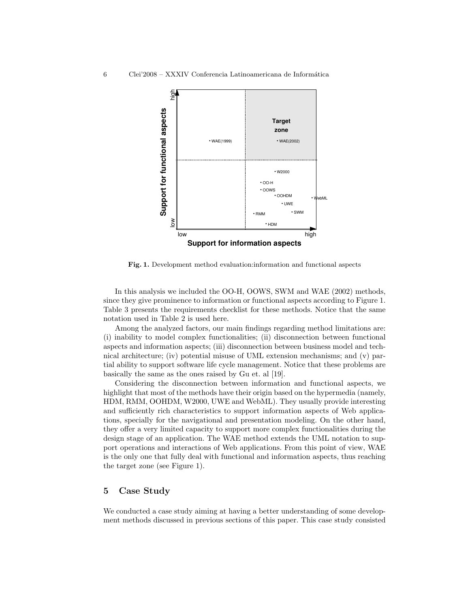

Fig. 1. Development method evaluation:information and functional aspects

In this analysis we included the OO-H, OOWS, SWM and WAE (2002) methods, since they give prominence to information or functional aspects according to Figure 1. Table 3 presents the requirements checklist for these methods. Notice that the same notation used in Table 2 is used here.

Among the analyzed factors, our main findings regarding method limitations are: (i) inability to model complex functionalities; (ii) disconnection between functional aspects and information aspects; (iii) disconnection between business model and technical architecture; (iv) potential misuse of UML extension mechanisms; and (v) partial ability to support software life cycle management. Notice that these problems are basically the same as the ones raised by Gu et. al [19].

Considering the disconnection between information and functional aspects, we highlight that most of the methods have their origin based on the hypermedia (namely, HDM, RMM, OOHDM, W2000, UWE and WebML). They usually provide interesting and sufficiently rich characteristics to support information aspects of Web applications, specially for the navigational and presentation modeling. On the other hand, they offer a very limited capacity to support more complex functionalities during the design stage of an application. The WAE method extends the UML notation to support operations and interactions of Web applications. From this point of view, WAE is the only one that fully deal with functional and information aspects, thus reaching the target zone (see Figure 1).

## 5 Case Study

We conducted a case study aiming at having a better understanding of some development methods discussed in previous sections of this paper. This case study consisted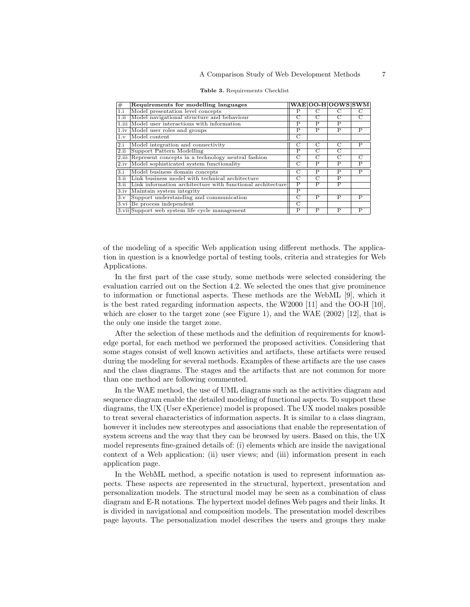| #                | Requirements for modelling languages                       |                         |                         | WAE OO-H OOWS SWM       |                         |
|------------------|------------------------------------------------------------|-------------------------|-------------------------|-------------------------|-------------------------|
| 1.i              | Model presentation level concepts                          | Р                       |                         | C                       | С                       |
| 1.ii             | Model navigational structure and behaviour                 | $\overline{C}$          | $\overline{C}$          | $\overline{C}$          | $\overline{C}$          |
| $1.1$ iii        | Model user interactions with information                   | P                       | P                       | P                       |                         |
| 1.iv             | Model user roles and groups                                | P                       | P                       | P                       | P                       |
| 1.v              | Model content                                              | $\overline{C}$          |                         |                         |                         |
| 2.i              | Model integration and connectivity                         | C                       | C                       | $\mathcal{C}$           | P                       |
| 2.ii             | Support Pattern Modelling                                  | Ρ                       | С                       | $\overline{C}$          |                         |
| 2.iii            | Represent concepts in a technology neutral fashion         | С                       | С                       | $\overline{C}$          | $\overline{C}$          |
| 2.iv             | Model sophisticated system functionality                   | C                       | P                       | P                       | P                       |
| $\overline{3,i}$ | Model business domain concepts                             | $\overline{C}$          | $_{\rm P}$              | $\overline{\mathbf{P}}$ | $\overline{\mathsf{P}}$ |
| 3.ii             | Link business model with technical architecture            | C                       | C                       | P                       |                         |
| 3.ii             | Link information architecture with functional architecture | P                       | P                       | P                       |                         |
| 3.iv             | Maintain system integrity                                  | $\overline{\mathrm{P}}$ |                         |                         |                         |
| 3.v              | Support understanding and communication                    | C                       | P                       | P                       | P                       |
| 3.vi             | Be process independent                                     | C                       |                         |                         |                         |
|                  | 3. vii Support web system life cycle management            | $\overline{P}$          | $\overline{\mathsf{P}}$ | $\overline{P}$          | $\overline{P}$          |

|  |  | Table 3. Requirements Checklist |  |
|--|--|---------------------------------|--|
|--|--|---------------------------------|--|

of the modeling of a specific Web application using different methods. The application in question is a knowledge portal of testing tools, criteria and strategies for Web Applications.

In the first part of the case study, some methods were selected considering the evaluation carried out on the Section 4.2. We selected the ones that give prominence to information or functional aspects. These methods are the WebML [9], which it is the best rated regarding information aspects, the W2000 [11] and the OO-H [10], which are closer to the target zone (see Figure 1), and the WAE  $(2002)$  [12], that is the only one inside the target zone.

After the selection of these methods and the definition of requirements for knowledge portal, for each method we performed the proposed activities. Considering that some stages consist of well known activities and artifacts, these artifacts were reused during the modeling for several methods. Examples of these artifacts are the use cases and the class diagrams. The stages and the artifacts that are not common for more than one method are following commented.

In the WAE method, the use of UML diagrams such as the activities diagram and sequence diagram enable the detailed modeling of functional aspects. To support these diagrams, the UX (User eXperience) model is proposed. The UX model makes possible to treat several characteristics of information aspects. It is similar to a class diagram, however it includes new stereotypes and associations that enable the representation of system screens and the way that they can be browsed by users. Based on this, the UX model represents fine-grained details of: (i) elements which are inside the navigational context of a Web application; (ii) user views; and (iii) information present in each application page.

In the WebML method, a specific notation is used to represent information aspects. These aspects are represented in the structural, hypertext, presentation and personalization models. The structural model may be seen as a combination of class diagram and E-R notations. The hypertext model defines Web pages and their links. It is divided in navigational and composition models. The presentation model describes page layouts. The personalization model describes the users and groups they make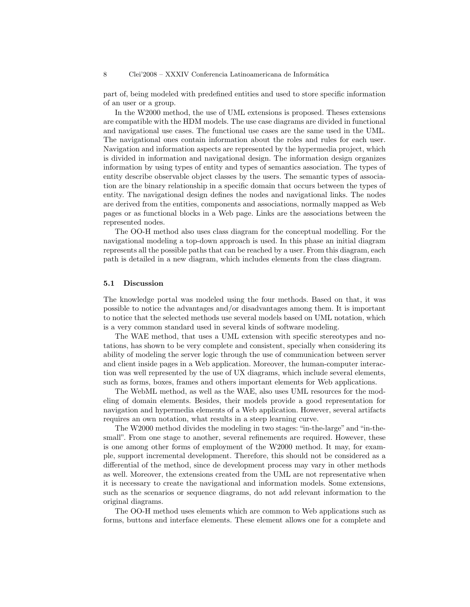part of, being modeled with predefined entities and used to store specific information of an user or a group.

In the W2000 method, the use of UML extensions is proposed. Theses extensions are compatible with the HDM models. The use case diagrams are divided in functional and navigational use cases. The functional use cases are the same used in the UML. The navigational ones contain information about the roles and rules for each user. Navigation and information aspects are represented by the hypermedia project, which is divided in information and navigational design. The information design organizes information by using types of entity and types of semantics association. The types of entity describe observable object classes by the users. The semantic types of association are the binary relationship in a specific domain that occurs between the types of entity. The navigational design defines the nodes and navigational links. The nodes are derived from the entities, components and associations, normally mapped as Web pages or as functional blocks in a Web page. Links are the associations between the represented nodes.

The OO-H method also uses class diagram for the conceptual modelling. For the navigational modeling a top-down approach is used. In this phase an initial diagram represents all the possible paths that can be reached by a user. From this diagram, each path is detailed in a new diagram, which includes elements from the class diagram.

#### 5.1 Discussion

The knowledge portal was modeled using the four methods. Based on that, it was possible to notice the advantages and/or disadvantages among them. It is important to notice that the selected methods use several models based on UML notation, which is a very common standard used in several kinds of software modeling.

The WAE method, that uses a UML extension with specific stereotypes and notations, has shown to be very complete and consistent, specially when considering its ability of modeling the server logic through the use of communication between server and client inside pages in a Web application. Moreover, the human-computer interaction was well represented by the use of UX diagrams, which include several elements, such as forms, boxes, frames and others important elements for Web applications.

The WebML method, as well as the WAE, also uses UML resources for the modeling of domain elements. Besides, their models provide a good representation for navigation and hypermedia elements of a Web application. However, several artifacts requires an own notation, what results in a steep learning curve.

The W2000 method divides the modeling in two stages: "in-the-large" and "in-thesmall". From one stage to another, several refinements are required. However, these is one among other forms of employment of the W2000 method. It may, for example, support incremental development. Therefore, this should not be considered as a differential of the method, since de development process may vary in other methods as well. Moreover, the extensions created from the UML are not representative when it is necessary to create the navigational and information models. Some extensions, such as the scenarios or sequence diagrams, do not add relevant information to the original diagrams.

The OO-H method uses elements which are common to Web applications such as forms, buttons and interface elements. These element allows one for a complete and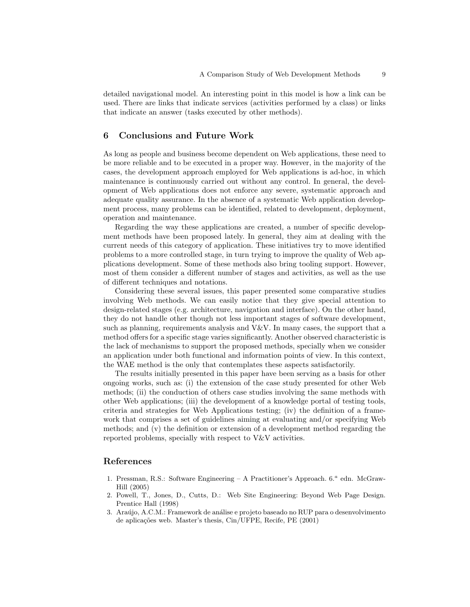detailed navigational model. An interesting point in this model is how a link can be used. There are links that indicate services (activities performed by a class) or links that indicate an answer (tasks executed by other methods).

## 6 Conclusions and Future Work

As long as people and business become dependent on Web applications, these need to be more reliable and to be executed in a proper way. However, in the majority of the cases, the development approach employed for Web applications is ad-hoc, in which maintenance is continuously carried out without any control. In general, the development of Web applications does not enforce any severe, systematic approach and adequate quality assurance. In the absence of a systematic Web application development process, many problems can be identified, related to development, deployment, operation and maintenance.

Regarding the way these applications are created, a number of specific development methods have been proposed lately. In general, they aim at dealing with the current needs of this category of application. These initiatives try to move identified problems to a more controlled stage, in turn trying to improve the quality of Web applications development. Some of these methods also bring tooling support. However, most of them consider a different number of stages and activities, as well as the use of different techniques and notations.

Considering these several issues, this paper presented some comparative studies involving Web methods. We can easily notice that they give special attention to design-related stages (e.g. architecture, navigation and interface). On the other hand, they do not handle other though not less important stages of software development, such as planning, requirements analysis and  $V&V$ . In many cases, the support that a method offers for a specific stage varies significantly. Another observed characteristic is the lack of mechanisms to support the proposed methods, specially when we consider an application under both functional and information points of view. In this context, the WAE method is the only that contemplates these aspects satisfactorily.

The results initially presented in this paper have been serving as a basis for other ongoing works, such as: (i) the extension of the case study presented for other Web methods; (ii) the conduction of others case studies involving the same methods with other Web applications; (iii) the development of a knowledge portal of testing tools, criteria and strategies for Web Applications testing; (iv) the definition of a framework that comprises a set of guidelines aiming at evaluating and/or specifying Web methods; and (v) the definition or extension of a development method regarding the reported problems, specially with respect to V&V activities.

## References

- 1. Pressman, R.S.: Software Engineering A Practitioner's Approach. 6.<sup>a</sup> edn. McGraw-Hill (2005)
- 2. Powell, T., Jones, D., Cutts, D.: Web Site Engineering: Beyond Web Page Design. Prentice Hall (1998)
- 3. Araújo, A.C.M.: Framework de análise e projeto baseado no RUP para o desenvolvimento de aplicações web. Master's thesis, Cin/UFPE, Recife, PE (2001)